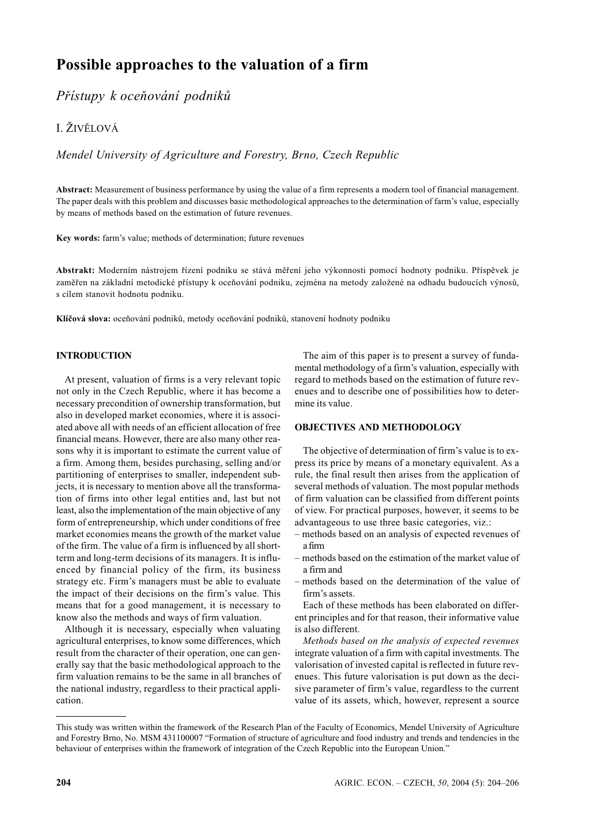# Possible approaches to the valuation of a firm

Přístupy k oceňování podniků

L ŽIVĚLOVÁ

Mendel University of Agriculture and Forestry, Brno, Czech Republic

Abstract: Measurement of business performance by using the value of a firm represents a modern tool of financial management. The paper deals with this problem and discusses basic methodological approaches to the determination of farm's value, especially by means of methods based on the estimation of future revenues.

Key words: farm's value; methods of determination; future revenues

Abstrakt: Moderním nástrojem řízení podniku se stává měření jeho výkonnosti pomocí hodnoty podniku. Příspěvek je zaměřen na základní metodické přístupy k oceňování podniku, zejména na metody založené na odhadu budoucích výnosů, s cílem stanovit hodnotu podniku.

Klíčová slova: oceňování podniků, metody oceňování podniků, stanovení hodnoty podniku

## **INTRODUCTION**

At present, valuation of firms is a very relevant topic not only in the Czech Republic, where it has become a necessary precondition of ownership transformation, but also in developed market economies, where it is associated above all with needs of an efficient allocation of free financial means. However, there are also many other reasons why it is important to estimate the current value of a firm. Among them, besides purchasing, selling and/or partitioning of enterprises to smaller, independent subjects, it is necessary to mention above all the transformation of firms into other legal entities and, last but not least, also the implementation of the main objective of any form of entrepreneurship, which under conditions of free market economies means the growth of the market value of the firm. The value of a firm is influenced by all shortterm and long-term decisions of its managers. It is influenced by financial policy of the firm, its business strategy etc. Firm's managers must be able to evaluate the impact of their decisions on the firm's value. This means that for a good management, it is necessary to know also the methods and ways of firm valuation.

Although it is necessary, especially when valuating agricultural enterprises, to know some differences, which result from the character of their operation, one can generally say that the basic methodological approach to the firm valuation remains to be the same in all branches of the national industry, regardless to their practical application.

The aim of this paper is to present a survey of fundamental methodology of a firm's valuation, especially with regard to methods based on the estimation of future revenues and to describe one of possibilities how to determine its value.

#### **OBJECTIVES AND METHODOLOGY**

The objective of determination of firm's value is to express its price by means of a monetary equivalent. As a rule, the final result then arises from the application of several methods of valuation. The most popular methods of firm valuation can be classified from different points of view. For practical purposes, however, it seems to be advantageous to use three basic categories, viz.:

- methods based on an analysis of expected revenues of a firm
- methods based on the estimation of the market value of a firm and
- methods based on the determination of the value of firm's assets

Each of these methods has been elaborated on different principles and for that reason, their informative value is also different.

Methods based on the analysis of expected revenues integrate valuation of a firm with capital investments. The valorisation of invested capital is reflected in future revenues. This future valorisation is put down as the decisive parameter of firm's value, regardless to the current value of its assets, which, however, represent a source

This study was written within the framework of the Research Plan of the Faculty of Economics, Mendel University of Agriculture and Forestry Brno, No. MSM 431100007 "Formation of structure of agriculture and food industry and trends and tendencies in the behaviour of enterprises within the framework of integration of the Czech Republic into the European Union."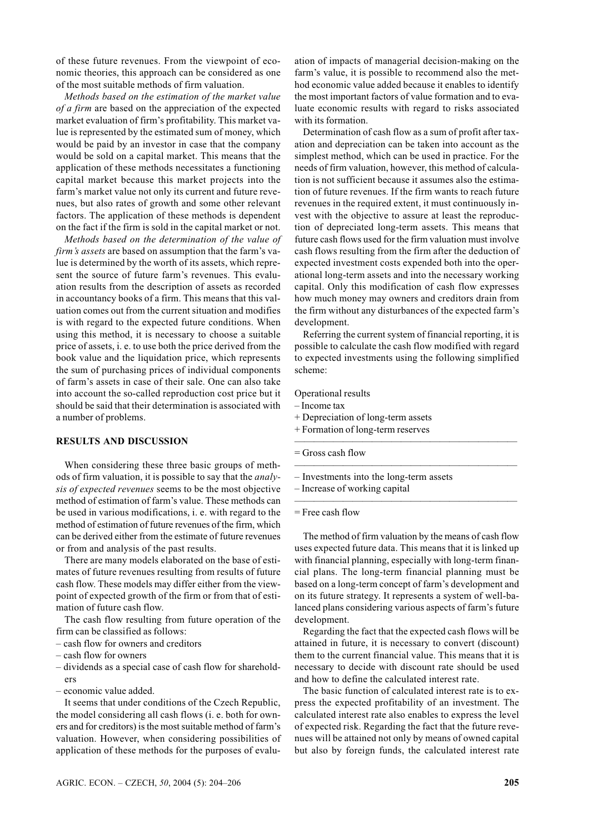of these future revenues. From the viewpoint of economic theories, this approach can be considered as one of the most suitable methods of firm valuation.

Methods based on the estimation of the market value *of a firm* are based on the appreciation of the expected market evaluation of firm's profitability. This market value is represented by the estimated sum of money, which would be paid by an investor in case that the company would be sold on a capital market. This means that the application of these methods necessitates a functioning capital market because this market projects into the farm's market value not only its current and future revenues, but also rates of growth and some other relevant factors. The application of these methods is dependent on the fact if the firm is sold in the capital market or not.

Methods based on the determination of the value of firm's assets are based on assumption that the farm's value is determined by the worth of its assets, which represent the source of future farm's revenues. This evaluation results from the description of assets as recorded in accountancy books of a firm. This means that this valuation comes out from the current situation and modifies is with regard to the expected future conditions. When using this method, it is necessary to choose a suitable price of assets, i. e. to use both the price derived from the book value and the liquidation price, which represents the sum of purchasing prices of individual components of farm's assets in case of their sale. One can also take into account the so-called reproduction cost price but it should be said that their determination is associated with a number of problems.

## **RESULTS AND DISCUSSION**

When considering these three basic groups of methods of firm valuation, it is possible to say that the *analy*sis of expected revenues seems to be the most objective method of estimation of farm's value. These methods can be used in various modifications, i. e. with regard to the method of estimation of future revenues of the firm, which can be derived either from the estimate of future revenues or from and analysis of the past results.

There are many models elaborated on the base of estimates of future revenues resulting from results of future cash flow. These models may differ either from the viewpoint of expected growth of the firm or from that of estimation of future cash flow.

The cash flow resulting from future operation of the firm can be classified as follows:

- cash flow for owners and creditors
- cash flow for owners
- dividends as a special case of cash flow for shareholders
- economic value added.

It seems that under conditions of the Czech Republic, the model considering all cash flows (i. e. both for owners and for creditors) is the most suitable method of farm's valuation. However, when considering possibilities of application of these methods for the purposes of evaluation of impacts of managerial decision-making on the farm's value, it is possible to recommend also the method economic value added because it enables to identify the most important factors of value formation and to evaluate economic results with regard to risks associated with its formation.

Determination of cash flow as a sum of profit after taxation and depreciation can be taken into account as the simplest method, which can be used in practice. For the needs of firm valuation, however, this method of calculation is not sufficient because it assumes also the estimation of future revenues. If the firm wants to reach future revenues in the required extent, it must continuously invest with the objective to assure at least the reproduction of depreciated long-term assets. This means that future cash flows used for the firm valuation must involve cash flows resulting from the firm after the deduction of expected investment costs expended both into the operational long-term assets and into the necessary working capital. Only this modification of cash flow expresses how much money may owners and creditors drain from the firm without any disturbances of the expected farm's development.

Referring the current system of financial reporting, it is possible to calculate the cash flow modified with regard to expected investments using the following simplified scheme:

Operational results

- Income tax
- + Depreciation of long-term assets
- + Formation of long-term reserves
- $=$  Gross cash flow
- Investments into the long-term assets
- Increase of working capital
- $=$  Free cash flow

The method of firm valuation by the means of cash flow uses expected future data. This means that it is linked up with financial planning, especially with long-term financial plans. The long-term financial planning must be based on a long-term concept of farm's development and on its future strategy. It represents a system of well-balanced plans considering various aspects of farm's future development.

Regarding the fact that the expected cash flows will be attained in future, it is necessary to convert (discount) them to the current financial value. This means that it is necessary to decide with discount rate should be used and how to define the calculated interest rate.

The basic function of calculated interest rate is to express the expected profitability of an investment. The calculated interest rate also enables to express the level of expected risk. Regarding the fact that the future revenues will be attained not only by means of owned capital but also by foreign funds, the calculated interest rate